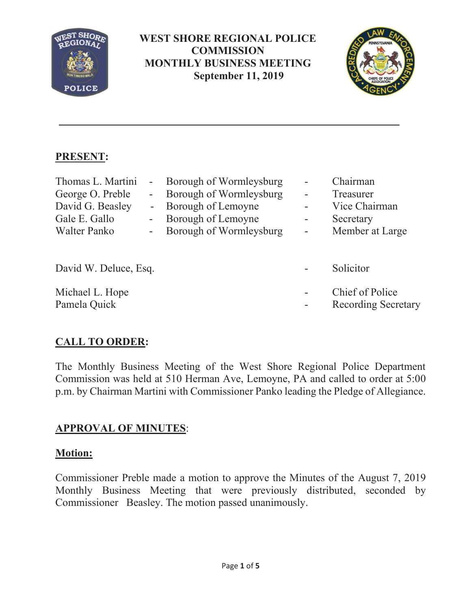

### **WEST SHORE REGIONAL POLICE COMMISSION MONTHLY BUSINESS MEETING September 11, 2019**



# **PRESENT:**

| Thomas L. Martini<br>George O. Preble<br>David G. Beasley<br>Gale E. Gallo<br>Walter Panko | - Borough of Wormleysburg<br>- Borough of Wormleysburg<br>- Borough of Lemoyne<br>- Borough of Lemoyne<br>- Borough of Wormleysburg | $\sim$<br>$\sim$ | Chairman<br>Treasurer<br>Vice Chairman<br>Secretary<br>Member at Large |
|--------------------------------------------------------------------------------------------|-------------------------------------------------------------------------------------------------------------------------------------|------------------|------------------------------------------------------------------------|
| David W. Deluce, Esq.                                                                      |                                                                                                                                     |                  | Solicitor                                                              |

- 
- Michael L. Hope **-** Chief of Police
- Pamela Quick  **Recording Secretary**

# **CALL TO ORDER:**

The Monthly Business Meeting of the West Shore Regional Police Department Commission was held at 510 Herman Ave, Lemoyne, PA and called to order at 5:00 p.m. by Chairman Martini with Commissioner Panko leading the Pledge of Allegiance.

# **APPROVAL OF MINUTES**:

### **Motion:**

Commissioner Preble made a motion to approve the Minutes of the August 7, 2019 Monthly Business Meeting that were previously distributed, seconded by Commissioner Beasley. The motion passed unanimously.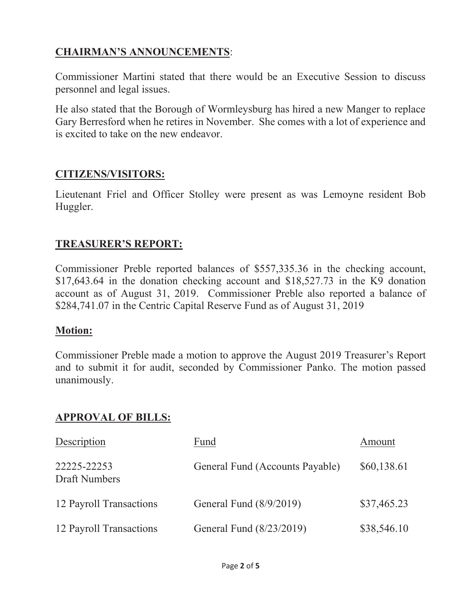# **CHAIRMAN'S ANNOUNCEMENTS**:

Commissioner Martini stated that there would be an Executive Session to discuss personnel and legal issues.

He also stated that the Borough of Wormleysburg has hired a new Manger to replace Gary Berresford when he retires in November. She comes with a lot of experience and is excited to take on the new endeavor.

#### **CITIZENS/VISITORS:**

Lieutenant Friel and Officer Stolley were present as was Lemoyne resident Bob Huggler.

#### **TREASURER'S REPORT:**

Commissioner Preble reported balances of \$557,335.36 in the checking account, \$17,643.64 in the donation checking account and \$18,527.73 in the K9 donation account as of August 31, 2019. Commissioner Preble also reported a balance of \$284,741.07 in the Centric Capital Reserve Fund as of August 31, 2019

#### **Motion:**

Commissioner Preble made a motion to approve the August 2019 Treasurer's Report and to submit it for audit, seconded by Commissioner Panko. The motion passed unanimously.

#### **APPROVAL OF BILLS:**

| Description                  | Fund                            | Amount      |
|------------------------------|---------------------------------|-------------|
| 22225-22253<br>Draft Numbers | General Fund (Accounts Payable) | \$60,138.61 |
| 12 Payroll Transactions      | General Fund $(8/9/2019)$       | \$37,465.23 |
| 12 Payroll Transactions      | General Fund (8/23/2019)        | \$38,546.10 |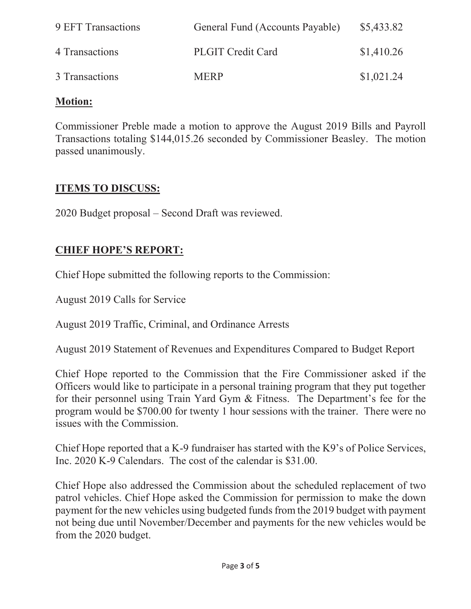| 9 EFT Transactions | General Fund (Accounts Payable) | \$5,433.82 |
|--------------------|---------------------------------|------------|
| 4 Transactions     | <b>PLGIT Credit Card</b>        | \$1,410.26 |
| 3 Transactions     | <b>MERP</b>                     | \$1,021.24 |

### **Motion:**

Commissioner Preble made a motion to approve the August 2019 Bills and Payroll Transactions totaling \$144,015.26 seconded by Commissioner Beasley. The motion passed unanimously.

### **ITEMS TO DISCUSS:**

2020 Budget proposal – Second Draft was reviewed.

# **CHIEF HOPE'S REPORT:**

Chief Hope submitted the following reports to the Commission:

August 2019 Calls for Service

August 2019 Traffic, Criminal, and Ordinance Arrests

August 2019 Statement of Revenues and Expenditures Compared to Budget Report

Chief Hope reported to the Commission that the Fire Commissioner asked if the Officers would like to participate in a personal training program that they put together for their personnel using Train Yard Gym & Fitness. The Department's fee for the program would be \$700.00 for twenty 1 hour sessions with the trainer. There were no issues with the Commission.

Chief Hope reported that a K-9 fundraiser has started with the K9's of Police Services, Inc. 2020 K-9 Calendars. The cost of the calendar is \$31.00.

Chief Hope also addressed the Commission about the scheduled replacement of two patrol vehicles. Chief Hope asked the Commission for permission to make the down payment for the new vehicles using budgeted funds from the 2019 budget with payment not being due until November/December and payments for the new vehicles would be from the 2020 budget.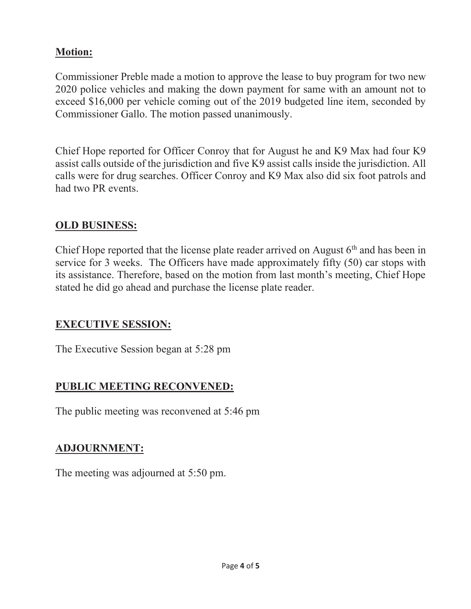# **Motion:**

Commissioner Preble made a motion to approve the lease to buy program for two new 2020 police vehicles and making the down payment for same with an amount not to exceed \$16,000 per vehicle coming out of the 2019 budgeted line item, seconded by Commissioner Gallo. The motion passed unanimously.

Chief Hope reported for Officer Conroy that for August he and K9 Max had four K9 assist calls outside of the jurisdiction and five K9 assist calls inside the jurisdiction. All calls were for drug searches. Officer Conroy and K9 Max also did six foot patrols and had two PR events.

# **OLD BUSINESS:**

Chief Hope reported that the license plate reader arrived on August  $6<sup>th</sup>$  and has been in service for 3 weeks. The Officers have made approximately fifty (50) car stops with its assistance. Therefore, based on the motion from last month's meeting, Chief Hope stated he did go ahead and purchase the license plate reader.

### **EXECUTIVE SESSION:**

The Executive Session began at 5:28 pm

# **PUBLIC MEETING RECONVENED:**

The public meeting was reconvened at 5:46 pm

### **ADJOURNMENT:**

The meeting was adjourned at 5:50 pm.